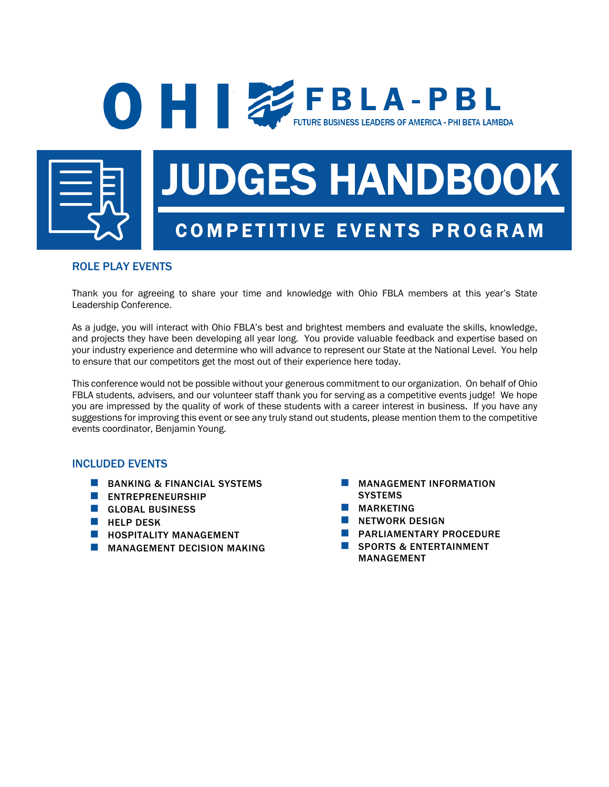## **O FBLA-PBL FUTURE BUSINESS LEADERS OF AMERICA - PHI BETA LAMBDA**



# JUDGES HANDBOOK COMPETITIVE EVENTS PROGRAM

### ROLE PLAY EVENTS

Thank you for agreeing to share your time and knowledge with Ohio FBLA members at this year's State Leadership Conference.

As a judge, you will interact with Ohio FBLA's best and brightest members and evaluate the skills, knowledge, and projects they have been developing all year long. You provide valuable feedback and expertise based on your industry experience and determine who will advance to represent our State at the National Level. You help to ensure that our competitors get the most out of their experience here today.

This conference would not be possible without your generous commitment to our organization. On behalf of Ohio FBLA students, advisers, and our volunteer staff thank you for serving as a competitive events judge! We hope you are impressed by the quality of work of these students with a career interest in business. If you have any suggestions for improving this event or see any truly stand out students, please mention them to the competitive events coordinator, Benjamin Young.

#### INCLUDED EVENTS

- **BANKING & FINANCIAL SYSTEMS**
- **N** ENTREPRENEURSHIP
- **n** GLOBAL BUSINESS
- $\blacksquare$  HELP DESK
- $\blacksquare$  HOSPITALITY MANAGEMENT
- **NANAGEMENT DECISION MAKING**
- **NANAGEMENT INFORMATION SYSTEMS**
- **NARKETING**
- **NETWORK DESIGN**
- **E** PARLIAMENTARY PROCEDURE
- SPORTS & ENTERTAINMENT MANAGEMENT